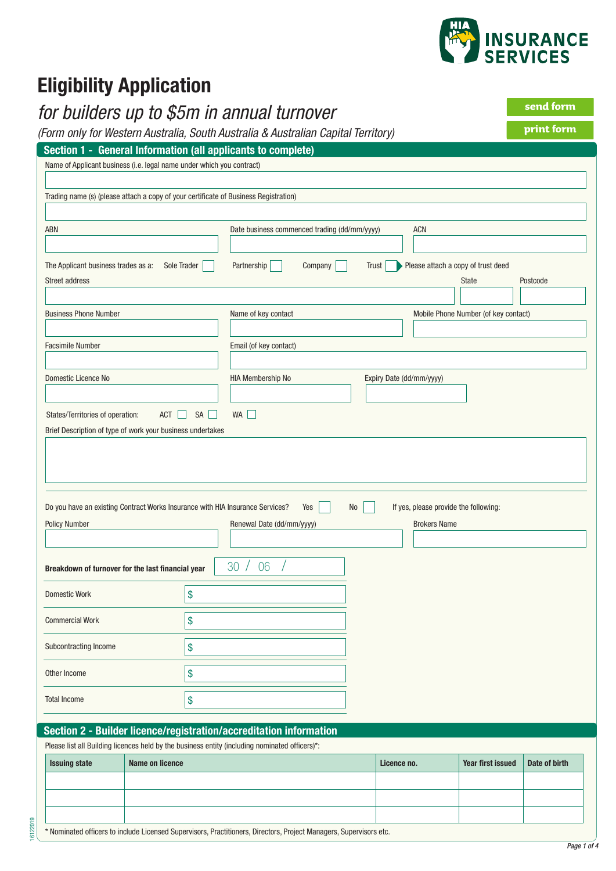

# **Eligibility Application**

# *for builders up to \$5m in annual turnover*

*(Form only for Western Australia, South Australia & Australian Capital Territory)*

| print form |  |
|------------|--|
|            |  |

**send form**

| Section 1 - General Information (all applicants to complete)                                                                                                                                                                |                                    |
|-----------------------------------------------------------------------------------------------------------------------------------------------------------------------------------------------------------------------------|------------------------------------|
|                                                                                                                                                                                                                             |                                    |
| Name of Applicant business (i.e. legal name under which you contract)                                                                                                                                                       |                                    |
|                                                                                                                                                                                                                             |                                    |
| Trading name (s) (please attach a copy of your certificate of Business Registration)                                                                                                                                        |                                    |
|                                                                                                                                                                                                                             |                                    |
| ABN<br>Date business commenced trading (dd/mm/yyyy)<br><b>ACN</b>                                                                                                                                                           |                                    |
|                                                                                                                                                                                                                             |                                    |
| Partnership<br>Please attach a copy of trust deed<br>The Applicant business trades as a:<br>Sole Trader<br>Company<br>Trust                                                                                                 |                                    |
| Street address<br><b>State</b>                                                                                                                                                                                              | Postcode                           |
|                                                                                                                                                                                                                             |                                    |
| <b>Business Phone Number</b><br>Name of key contact<br>Mobile Phone Number (of key contact)                                                                                                                                 |                                    |
|                                                                                                                                                                                                                             |                                    |
| Email (of key contact)<br><b>Facsimile Number</b>                                                                                                                                                                           |                                    |
| Domestic Licence No<br>HIA Membership No<br>Expiry Date (dd/mm/yyyy)                                                                                                                                                        |                                    |
|                                                                                                                                                                                                                             |                                    |
| $SA$ $\Box$<br>States/Territories of operation:<br>$ACT$    <br>WA                                                                                                                                                          |                                    |
| Brief Description of type of work your business undertakes                                                                                                                                                                  |                                    |
|                                                                                                                                                                                                                             |                                    |
| Do you have an existing Contract Works Insurance with HIA Insurance Services?<br>N <sub>0</sub><br>If yes, please provide the following:<br>Yes<br><b>Policy Number</b><br>Renewal Date (dd/mm/yyyy)<br><b>Brokers Name</b> |                                    |
|                                                                                                                                                                                                                             |                                    |
| 30<br>06<br>Breakdown of turnover for the last financial year                                                                                                                                                               |                                    |
| \$<br><b>Domestic Work</b>                                                                                                                                                                                                  |                                    |
|                                                                                                                                                                                                                             |                                    |
| $$$<br><b>Commercial Work</b>                                                                                                                                                                                               |                                    |
| \$<br>Subcontracting Income                                                                                                                                                                                                 |                                    |
|                                                                                                                                                                                                                             |                                    |
|                                                                                                                                                                                                                             |                                    |
| \$                                                                                                                                                                                                                          |                                    |
| \$                                                                                                                                                                                                                          |                                    |
|                                                                                                                                                                                                                             |                                    |
| Other Income<br><b>Total Income</b><br>Section 2 - Builder licence/registration/accreditation information<br>Please list all Building licences held by the business entity (including nominated officers)*:                 |                                    |
| <b>Name on licence</b><br>Licence no.                                                                                                                                                                                       | Year first issued<br>Date of birth |
| <b>Issuing state</b>                                                                                                                                                                                                        |                                    |
|                                                                                                                                                                                                                             |                                    |
|                                                                                                                                                                                                                             |                                    |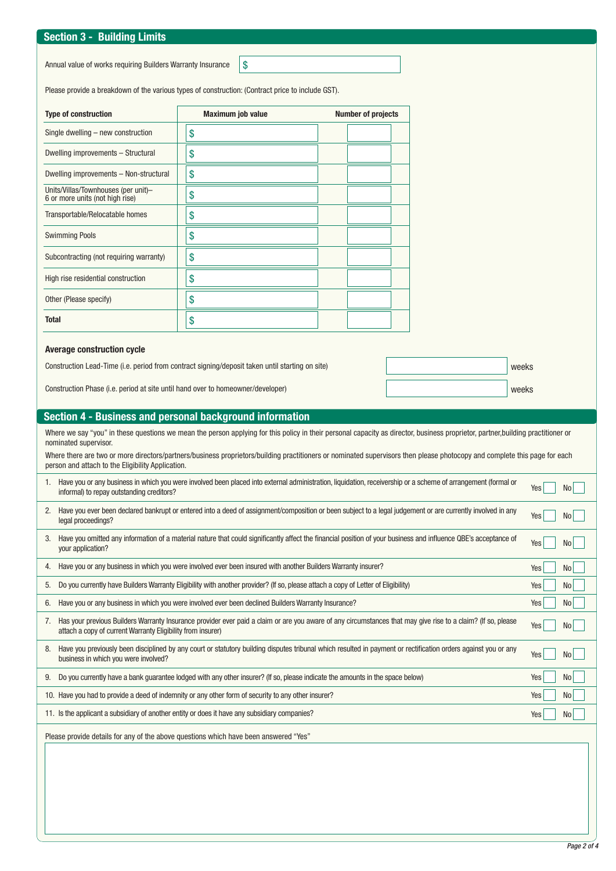## **Section 3 - Building Limits**

Annual value of works requiring Builders Warranty Insurance  $\sqrt{\$}$ 

Please provide a breakdown of the various types of construction: (Contract price to include GST).

| <b>Type of construction</b>                                                                                                                                                                                                       | Maximum job value                                                                                                                                                                | <b>Number of projects</b> |  |       |  |  |  |
|-----------------------------------------------------------------------------------------------------------------------------------------------------------------------------------------------------------------------------------|----------------------------------------------------------------------------------------------------------------------------------------------------------------------------------|---------------------------|--|-------|--|--|--|
| Single dwelling - new construction                                                                                                                                                                                                | \$                                                                                                                                                                               |                           |  |       |  |  |  |
| Dwelling improvements - Structural                                                                                                                                                                                                | \$                                                                                                                                                                               |                           |  |       |  |  |  |
| Dwelling improvements - Non-structural                                                                                                                                                                                            | \$                                                                                                                                                                               |                           |  |       |  |  |  |
| Units/Villas/Townhouses (per unit)-<br>6 or more units (not high rise)                                                                                                                                                            | \$                                                                                                                                                                               |                           |  |       |  |  |  |
| Transportable/Relocatable homes                                                                                                                                                                                                   | \$                                                                                                                                                                               |                           |  |       |  |  |  |
| <b>Swimming Pools</b>                                                                                                                                                                                                             | \$                                                                                                                                                                               |                           |  |       |  |  |  |
| Subcontracting (not requiring warranty)                                                                                                                                                                                           | \$                                                                                                                                                                               |                           |  |       |  |  |  |
| High rise residential construction                                                                                                                                                                                                | \$                                                                                                                                                                               |                           |  |       |  |  |  |
| Other (Please specify)                                                                                                                                                                                                            | \$                                                                                                                                                                               |                           |  |       |  |  |  |
| <b>Total</b>                                                                                                                                                                                                                      | \$                                                                                                                                                                               |                           |  |       |  |  |  |
| <b>Average construction cycle</b>                                                                                                                                                                                                 |                                                                                                                                                                                  |                           |  |       |  |  |  |
|                                                                                                                                                                                                                                   | Construction Lead-Time (i.e. period from contract signing/deposit taken until starting on site)                                                                                  |                           |  | weeks |  |  |  |
|                                                                                                                                                                                                                                   |                                                                                                                                                                                  |                           |  |       |  |  |  |
| Construction Phase (i.e. period at site until hand over to homeowner/developer)                                                                                                                                                   |                                                                                                                                                                                  |                           |  | weeks |  |  |  |
| Section 4 - Business and personal background information                                                                                                                                                                          |                                                                                                                                                                                  |                           |  |       |  |  |  |
|                                                                                                                                                                                                                                   | Where we say "you" in these questions we mean the person applying for this policy in their personal capacity as director, business proprietor, partner, building practitioner or |                           |  |       |  |  |  |
| nominated supervisor.                                                                                                                                                                                                             | Where there are two or more directors/partners/business proprietors/building practitioners or nominated supervisors then please photocopy and complete this page for each        |                           |  |       |  |  |  |
| person and attach to the Eligibility Application.                                                                                                                                                                                 |                                                                                                                                                                                  |                           |  |       |  |  |  |
| informal) to repay outstanding creditors?                                                                                                                                                                                         | 1. Have you or any business in which you were involved been placed into external administration, liquidation, receivership or a scheme of arrangement (formal or<br>Yes<br>No l  |                           |  |       |  |  |  |
| 2. Have you ever been declared bankrupt or entered into a deed of assignment/composition or been subject to a legal judgement or are currently involved in any<br>Yes<br>No I<br>legal proceedings?                               |                                                                                                                                                                                  |                           |  |       |  |  |  |
| Have you omitted any information of a material nature that could significantly affect the financial position of your business and influence QBE's acceptance of<br>3.<br>Yes<br>your application?                                 |                                                                                                                                                                                  |                           |  |       |  |  |  |
| Have you or any business in which you were involved ever been insured with another Builders Warranty insurer?<br>4.                                                                                                               |                                                                                                                                                                                  |                           |  |       |  |  |  |
| Do you currently have Builders Warranty Eligibility with another provider? (If so, please attach a copy of Letter of Eligibility)<br>5.                                                                                           |                                                                                                                                                                                  |                           |  |       |  |  |  |
| Have you or any business in which you were involved ever been declined Builders Warranty Insurance?<br>6.                                                                                                                         |                                                                                                                                                                                  |                           |  |       |  |  |  |
| Has your previous Builders Warranty Insurance provider ever paid a claim or are you aware of any circumstances that may give rise to a claim? (If so, please<br>7.<br>attach a copy of current Warranty Eligibility from insurer) |                                                                                                                                                                                  |                           |  |       |  |  |  |
| Have you previously been disciplined by any court or statutory building disputes tribunal which resulted in payment or rectification orders against you or any<br>8.<br>business in which you were involved?                      |                                                                                                                                                                                  |                           |  |       |  |  |  |
| 9. Do you currently have a bank guarantee lodged with any other insurer? (If so, please indicate the amounts in the space below)                                                                                                  |                                                                                                                                                                                  |                           |  |       |  |  |  |
| 10. Have you had to provide a deed of indemnity or any other form of security to any other insurer?                                                                                                                               |                                                                                                                                                                                  |                           |  |       |  |  |  |
| 11. Is the applicant a subsidiary of another entity or does it have any subsidiary companies?                                                                                                                                     |                                                                                                                                                                                  |                           |  |       |  |  |  |
|                                                                                                                                                                                                                                   | Please provide details for any of the above questions which have been answered "Yes"                                                                                             |                           |  |       |  |  |  |
|                                                                                                                                                                                                                                   |                                                                                                                                                                                  |                           |  |       |  |  |  |
|                                                                                                                                                                                                                                   |                                                                                                                                                                                  |                           |  |       |  |  |  |
|                                                                                                                                                                                                                                   |                                                                                                                                                                                  |                           |  |       |  |  |  |
|                                                                                                                                                                                                                                   |                                                                                                                                                                                  |                           |  |       |  |  |  |
|                                                                                                                                                                                                                                   |                                                                                                                                                                                  |                           |  |       |  |  |  |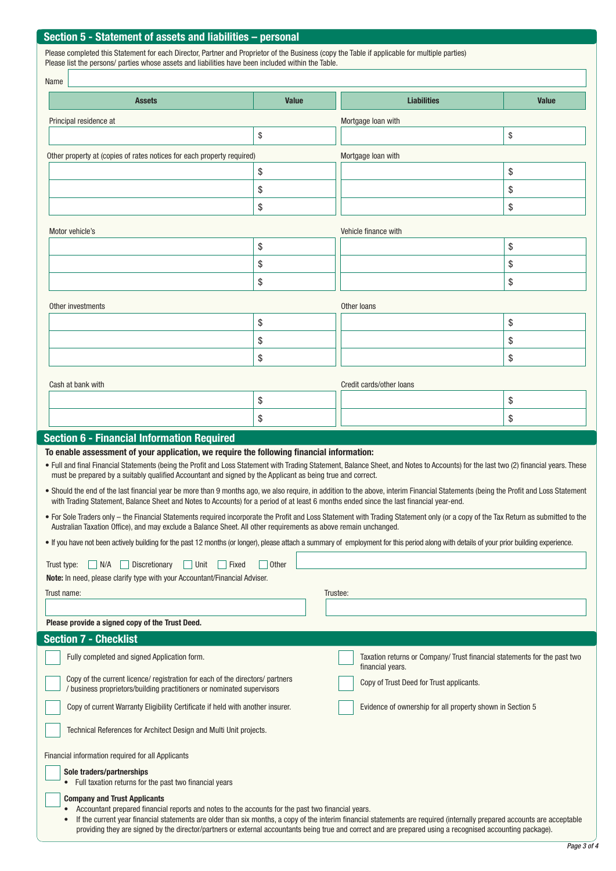### **Section 5 - Statement of assets and liabilities – personal**

Please completed this Statement for each Director, Partner and Proprietor of the Business (copy the Table if applicable for multiple parties) Please list the persons/ parties whose assets and liabilities have been included within the Table.

| Name                                                                                                                                                    |                                                                                                                                                                                                                                                                                                                                                                                                                                                                                                                                                                                                                                                                                                                                                                                                                                                                                                                                                                                    |              |                                                                                             |              |  |  |
|---------------------------------------------------------------------------------------------------------------------------------------------------------|------------------------------------------------------------------------------------------------------------------------------------------------------------------------------------------------------------------------------------------------------------------------------------------------------------------------------------------------------------------------------------------------------------------------------------------------------------------------------------------------------------------------------------------------------------------------------------------------------------------------------------------------------------------------------------------------------------------------------------------------------------------------------------------------------------------------------------------------------------------------------------------------------------------------------------------------------------------------------------|--------------|---------------------------------------------------------------------------------------------|--------------|--|--|
|                                                                                                                                                         | <b>Assets</b>                                                                                                                                                                                                                                                                                                                                                                                                                                                                                                                                                                                                                                                                                                                                                                                                                                                                                                                                                                      | <b>Value</b> | <b>Liabilities</b>                                                                          | <b>Value</b> |  |  |
|                                                                                                                                                         | Principal residence at                                                                                                                                                                                                                                                                                                                                                                                                                                                                                                                                                                                                                                                                                                                                                                                                                                                                                                                                                             |              | Mortgage Ioan with                                                                          |              |  |  |
|                                                                                                                                                         |                                                                                                                                                                                                                                                                                                                                                                                                                                                                                                                                                                                                                                                                                                                                                                                                                                                                                                                                                                                    | \$           |                                                                                             | \$           |  |  |
|                                                                                                                                                         | Other property at (copies of rates notices for each property required)                                                                                                                                                                                                                                                                                                                                                                                                                                                                                                                                                                                                                                                                                                                                                                                                                                                                                                             |              | Mortgage Ioan with                                                                          |              |  |  |
|                                                                                                                                                         |                                                                                                                                                                                                                                                                                                                                                                                                                                                                                                                                                                                                                                                                                                                                                                                                                                                                                                                                                                                    | \$           |                                                                                             | \$           |  |  |
|                                                                                                                                                         |                                                                                                                                                                                                                                                                                                                                                                                                                                                                                                                                                                                                                                                                                                                                                                                                                                                                                                                                                                                    | \$           |                                                                                             | \$           |  |  |
|                                                                                                                                                         |                                                                                                                                                                                                                                                                                                                                                                                                                                                                                                                                                                                                                                                                                                                                                                                                                                                                                                                                                                                    | \$           |                                                                                             | \$           |  |  |
|                                                                                                                                                         | Motor vehicle's                                                                                                                                                                                                                                                                                                                                                                                                                                                                                                                                                                                                                                                                                                                                                                                                                                                                                                                                                                    |              | Vehicle finance with                                                                        |              |  |  |
|                                                                                                                                                         |                                                                                                                                                                                                                                                                                                                                                                                                                                                                                                                                                                                                                                                                                                                                                                                                                                                                                                                                                                                    | \$           |                                                                                             | \$           |  |  |
|                                                                                                                                                         |                                                                                                                                                                                                                                                                                                                                                                                                                                                                                                                                                                                                                                                                                                                                                                                                                                                                                                                                                                                    | \$           |                                                                                             | \$           |  |  |
|                                                                                                                                                         |                                                                                                                                                                                                                                                                                                                                                                                                                                                                                                                                                                                                                                                                                                                                                                                                                                                                                                                                                                                    | \$           |                                                                                             | \$           |  |  |
|                                                                                                                                                         | Other investments                                                                                                                                                                                                                                                                                                                                                                                                                                                                                                                                                                                                                                                                                                                                                                                                                                                                                                                                                                  |              | Other loans                                                                                 |              |  |  |
|                                                                                                                                                         |                                                                                                                                                                                                                                                                                                                                                                                                                                                                                                                                                                                                                                                                                                                                                                                                                                                                                                                                                                                    | \$           |                                                                                             | \$           |  |  |
|                                                                                                                                                         |                                                                                                                                                                                                                                                                                                                                                                                                                                                                                                                                                                                                                                                                                                                                                                                                                                                                                                                                                                                    | \$           |                                                                                             | \$           |  |  |
|                                                                                                                                                         |                                                                                                                                                                                                                                                                                                                                                                                                                                                                                                                                                                                                                                                                                                                                                                                                                                                                                                                                                                                    | \$           |                                                                                             | \$           |  |  |
|                                                                                                                                                         |                                                                                                                                                                                                                                                                                                                                                                                                                                                                                                                                                                                                                                                                                                                                                                                                                                                                                                                                                                                    |              |                                                                                             |              |  |  |
|                                                                                                                                                         | Cash at bank with                                                                                                                                                                                                                                                                                                                                                                                                                                                                                                                                                                                                                                                                                                                                                                                                                                                                                                                                                                  |              | Credit cards/other loans                                                                    |              |  |  |
|                                                                                                                                                         |                                                                                                                                                                                                                                                                                                                                                                                                                                                                                                                                                                                                                                                                                                                                                                                                                                                                                                                                                                                    | \$           |                                                                                             | \$           |  |  |
|                                                                                                                                                         | <b>Section 6 - Financial Information Required</b>                                                                                                                                                                                                                                                                                                                                                                                                                                                                                                                                                                                                                                                                                                                                                                                                                                                                                                                                  | \$           |                                                                                             | \$           |  |  |
| Trust type:<br>Trust name:                                                                                                                              | • Should the end of the last financial year be more than 9 months ago, we also require, in addition to the above, interim Financial Statements (being the Profit and Loss Statement<br>with Trading Statement, Balance Sheet and Notes to Accounts) for a period of at least 6 months ended since the last financial year-end.<br>• For Sole Traders only – the Financial Statements required incorporate the Profit and Loss Statement with Trading Statement only (or a copy of the Tax Return as submitted to the<br>Australian Taxation Office), and may exclude a Balance Sheet. All other requirements as above remain unchanged.<br>. If you have not been actively building for the past 12 months (or longer), please attach a summary of employment for this period along with details of your prior building experience.<br>$\vert$ N/A<br>Discretionary<br>$\vert$ Unit<br>$\vert$ Fixed<br>Note: In need, please clarify type with your Accountant/Financial Adviser. | <b>Other</b> | Trustee:                                                                                    |              |  |  |
|                                                                                                                                                         | Please provide a signed copy of the Trust Deed.                                                                                                                                                                                                                                                                                                                                                                                                                                                                                                                                                                                                                                                                                                                                                                                                                                                                                                                                    |              |                                                                                             |              |  |  |
|                                                                                                                                                         | <b>Section 7 - Checklist</b>                                                                                                                                                                                                                                                                                                                                                                                                                                                                                                                                                                                                                                                                                                                                                                                                                                                                                                                                                       |              |                                                                                             |              |  |  |
|                                                                                                                                                         | Fully completed and signed Application form.                                                                                                                                                                                                                                                                                                                                                                                                                                                                                                                                                                                                                                                                                                                                                                                                                                                                                                                                       |              | Taxation returns or Company/Trust financial statements for the past two<br>financial years. |              |  |  |
| Copy of the current licence/ registration for each of the directors/ partners<br>/ business proprietors/building practitioners or nominated supervisors |                                                                                                                                                                                                                                                                                                                                                                                                                                                                                                                                                                                                                                                                                                                                                                                                                                                                                                                                                                                    |              | Copy of Trust Deed for Trust applicants.                                                    |              |  |  |
| Copy of current Warranty Eligibility Certificate if held with another insurer.                                                                          |                                                                                                                                                                                                                                                                                                                                                                                                                                                                                                                                                                                                                                                                                                                                                                                                                                                                                                                                                                                    |              | Evidence of ownership for all property shown in Section 5                                   |              |  |  |
|                                                                                                                                                         | Technical References for Architect Design and Multi Unit projects.                                                                                                                                                                                                                                                                                                                                                                                                                                                                                                                                                                                                                                                                                                                                                                                                                                                                                                                 |              |                                                                                             |              |  |  |
|                                                                                                                                                         | Financial information required for all Applicants                                                                                                                                                                                                                                                                                                                                                                                                                                                                                                                                                                                                                                                                                                                                                                                                                                                                                                                                  |              |                                                                                             |              |  |  |
|                                                                                                                                                         | Sole traders/partnerships<br>• Full taxation returns for the past two financial years                                                                                                                                                                                                                                                                                                                                                                                                                                                                                                                                                                                                                                                                                                                                                                                                                                                                                              |              |                                                                                             |              |  |  |
|                                                                                                                                                         | <b>Company and Trust Applicants</b><br>Accountant prepared financial reports and notes to the accounts for the past two financial years.<br>If the current year financial statements are older than six months, a copy of the interim financial statements are required (internally prepared accounts are acceptable<br>providing they are signed by the director/partners or external accountants being true and correct and are prepared using a recognised accounting package).                                                                                                                                                                                                                                                                                                                                                                                                                                                                                                 |              |                                                                                             |              |  |  |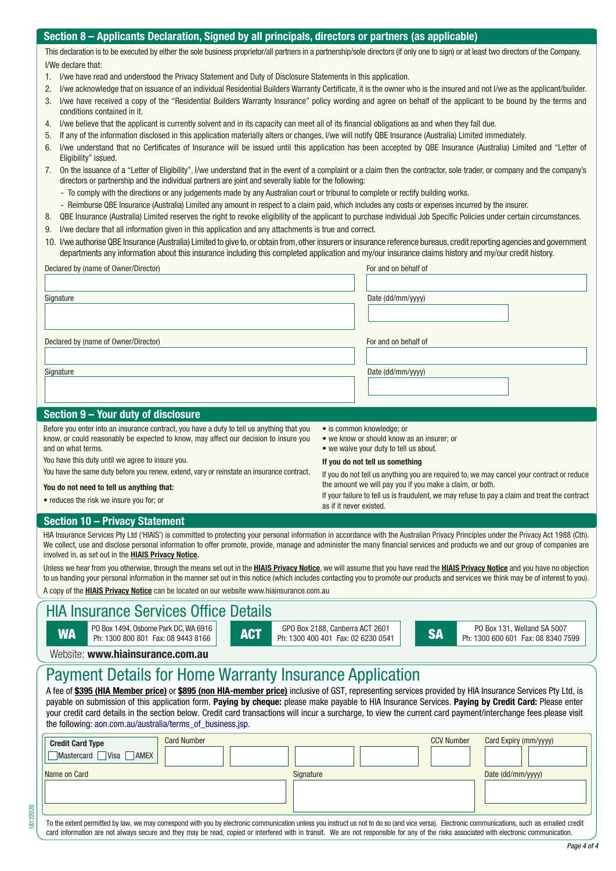### **Section 7 – Applicants Declaration, Signed by all principals, directors or partners (as applicable) Section 8 – Applicants Declaration, Signed by all principals, directors or partners (as applicable)**

This declaration is to be executed by either the sole business proprietor/all partners in a partnership/sole directors (if only one to sign) or at least two directors of the Company. I/We declare that:

- 1. I/we have read and understood the Privacy Statement and Duty of Disclosure Statements in this application.
- 2. I/we acknowledge that on issuance of an individual Residential Builders Warranty Certificate, it is the owner who is the insured and not I/we as the applicant/builder.
- 3. I/we have received a copy of the "Residential Builders Warranty Insurance" policy wording and agree on behalf of the applicant to be bound by the terms and conditions contained in it.
- 4. I/we believe that the applicant is currently solvent and in its capacity can meet all of its financial obligations as and when they fall due.
- 5. If any of the information disclosed in this application materially alters or changes, I/we will notify QBE Insurance (Australia) Limited immediately.
- 6. I/we understand that no Certificates of Insurance will be issued until this application has been accepted by QBE Insurance (Australia) Limited and "Letter of Eligibility" issued.
- 7. On the issuance of a "Letter of Eligibility", I/we understand that in the event of a complaint or a claim then the contractor, sole trader, or company and the company's directors or partnership and the individual partners are joint and severally liable for the following:
	- To comply with the directions or any judgements made by any Australian court or tribunal to complete or rectify building works.
	- Reimburse QBE Insurance (Australia) Limited any amount in respect to a claim paid, which includes any costs or expenses incurred by the insurer.
- 8. QBE Insurance (Australia) Limited reserves the right to revoke eligibility of the applicant to purchase individual Job Specific Policies under certain circumstances.
- 9. I/we declare that all information given in this application and any attachments is true and correct.
- 10. I/we authorise QBE Insurance (Australia) Limited to give to, or obtain from, other insurers or insurance reference bureaus, credit reporting agencies and government departments any information about this insurance including this completed application and my/our insurance claims history and my/our credit history.

| Declared by (name of Owner/Director) | For and on behalf of |
|--------------------------------------|----------------------|
| Signature                            | Date (dd/mm/yyyy)    |
| Declared by (name of Owner/Director) | For and on behalf of |
| Signature                            | Date (dd/mm/yyyy)    |
| Section 9 - Your duty of disclosure  |                      |

Before you enter into an insurance contract, you have a duty to tell us anything that you know, or could reasonably be expected to know, may affect our decision to insure you and on what terms.

- You have this duty until we agree to insure you.
- You have the same duty before you renew, extend, vary or reinstate an insurance contract.

#### **You do not need to tell us anything that:**

• reduces the risk we insure you for; or

- is common knowledge; or
- we know or should know as an insurer; or
- we waive your duty to tell us about.

#### **If you do not tell us something**

If you do not tell us anything you are required to, we may cancel your contract or reduce the amount we will pay you if you make a claim, or both.

If your failure to tell us is fraudulent, we may refuse to pay a claim and treat the contract as if it never existed.

#### **Section 10 – Privacy Statement**

HIA Insurance Services Pty Ltd ('HIAIS') is committed to protecting your personal information in accordance with the Australian Privacy Principles under the Privacy Act 1988 (Cth). We collect, use and disclose personal information to offer promote, provide, manage and administer the many financial services and products we and our group of companies are involved in, as set out in the **HIAIS Privacy Notice.**

Unless we hear from you otherwise, through the means set out in the **HIAIS Privacy Notice**, we will assume that you have read the **HIAIS Privacy Notice** and you have no objection to us handing your personal information in the manner set out in this notice (which includes contacting you to promote our products and services we think may be of interest to you). A copy of the **HIAIS Privacy Notice** can be located on our website <www.hiainsurance.com.au>

### HIA Insurance Services Office Details

| <b>WA</b>                                                                                                                                                                                                                                                                                                                                                                                                                                                                                                                                                                                                          | PO Box 1494, Osborne Park DC, WA 6916<br>Ph: 1300 800 801 Fax: 08 9443 8166 |                    | <b>ACT</b> | GPO Box 2188, Canberra ACT 2601<br>Ph: 1300 400 401 Fax: 02 6230 0541 |  | <b>SA</b>         | PO Box 131, Welland SA 5007<br>Ph: 1300 600 601 Fax: 08 8340 7599 |  |
|--------------------------------------------------------------------------------------------------------------------------------------------------------------------------------------------------------------------------------------------------------------------------------------------------------------------------------------------------------------------------------------------------------------------------------------------------------------------------------------------------------------------------------------------------------------------------------------------------------------------|-----------------------------------------------------------------------------|--------------------|------------|-----------------------------------------------------------------------|--|-------------------|-------------------------------------------------------------------|--|
| Website: www.hiainsurance.com.au                                                                                                                                                                                                                                                                                                                                                                                                                                                                                                                                                                                   |                                                                             |                    |            |                                                                       |  |                   |                                                                   |  |
| <b>Payment Details for Home Warranty Insurance Application</b><br>A fee of \$395 (HIA Member price) or \$895 (non HIA-member price) inclusive of GST, representing services provided by HIA Insurance Services Pty Ltd, is<br>payable on submission of this application form. Paying by cheque: please make payable to HIA Insurance Services. Paying by Credit Card: Please enter<br>your credit card details in the section below. Credit card transactions will incur a surcharge, to view the current card payment/interchange fees please visit<br>the following: aon.com.au/australia/terms_of_business.jsp. |                                                                             |                    |            |                                                                       |  |                   |                                                                   |  |
| <b>Credit Card Type</b>                                                                                                                                                                                                                                                                                                                                                                                                                                                                                                                                                                                            | Mastercard Visa AMEX                                                        | <b>Card Number</b> |            |                                                                       |  | <b>CCV Number</b> | Card Expiry (mm/yyyy)                                             |  |
| Name on Card                                                                                                                                                                                                                                                                                                                                                                                                                                                                                                                                                                                                       |                                                                             |                    |            | Signature                                                             |  |                   | Date (dd/mm/yyyy)                                                 |  |
| To the extent permitted by law, we may correspond with you by electronic communication unless you instruct us not to do so (and vice versa). Electronic communications, such as emailed credit<br>card information are not always secure and they may be read, copied or interfered with in transit. We are not responsible for any of the risks associated with electronic communication.                                                                                                                                                                                                                         |                                                                             |                    |            |                                                                       |  |                   |                                                                   |  |

18122020

*Page 4 of 4*